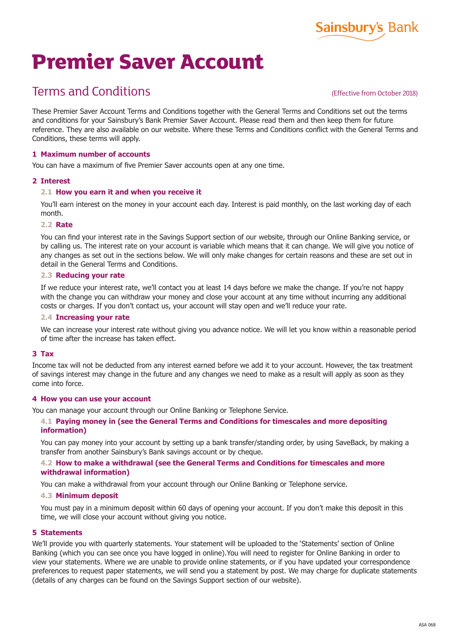

# **Premier Saver Account**

# Terms and Conditions

# (Effective from October 2018)

These Premier Saver Account Terms and Conditions together with the General Terms and Conditions set out the terms and conditions for your Sainsbury's Bank Premier Saver Account. Please read them and then keep them for future reference. They are also available on our website. Where these Terms and Conditions conflict with the General Terms and Conditions, these terms will apply.

# **1 Maximum number of accounts**

You can have a maximum of five Premier Saver accounts open at any one time.

# **2 Interest**

# **2.1 How you earn it and when you receive it**

You'll earn interest on the money in your account each day. Interest is paid monthly, on the last working day of each month.

#### **2.2 Rate**

You can find your interest rate in the Savings Support section of our website, through our Online Banking service, or by calling us. The interest rate on your account is variable which means that it can change. We will give you notice of any changes as set out in the sections below. We will only make changes for certain reasons and these are set out in detail in the General Terms and Conditions.

#### **2.3 Reducing your rate**

If we reduce your interest rate, we'll contact you at least 14 days before we make the change. If you're not happy with the change you can withdraw your money and close your account at any time without incurring any additional costs or charges. If you don't contact us, your account will stay open and we'll reduce your rate.

#### **2.4 Increasing your rate**

We can increase your interest rate without giving you advance notice. We will let you know within a reasonable period of time after the increase has taken effect.

#### **3 Tax**

Income tax will not be deducted from any interest earned before we add it to your account. However, the tax treatment of savings interest may change in the future and any changes we need to make as a result will apply as soon as they come into force.

#### **4 How you can use your account**

You can manage your account through our Online Banking or Telephone Service.

# **4.1 Paying money in (see the General Terms and Conditions for timescales and more depositing information)**

You can pay money into your account by setting up a bank transfer/standing order, by using SaveBack, by making a transfer from another Sainsbury's Bank savings account or by cheque.

# **4.2 How to make a withdrawal (see the General Terms and Conditions for timescales and more withdrawal information)**

You can make a withdrawal from your account through our Online Banking or Telephone service.

#### **4.3 Minimum deposit**

You must pay in a minimum deposit within 60 days of opening your account. If you don't make this deposit in this time, we will close your account without giving you notice.

#### **5 Statements**

We'll provide you with quarterly statements. Your statement will be uploaded to the 'Statements' section of Online Banking (which you can see once you have logged in online).You will need to register for Online Banking in order to view your statements. Where we are unable to provide online statements, or if you have updated your correspondence preferences to request paper statements, we will send you a statement by post. We may charge for duplicate statements (details of any charges can be found on the Savings Support section of our website).